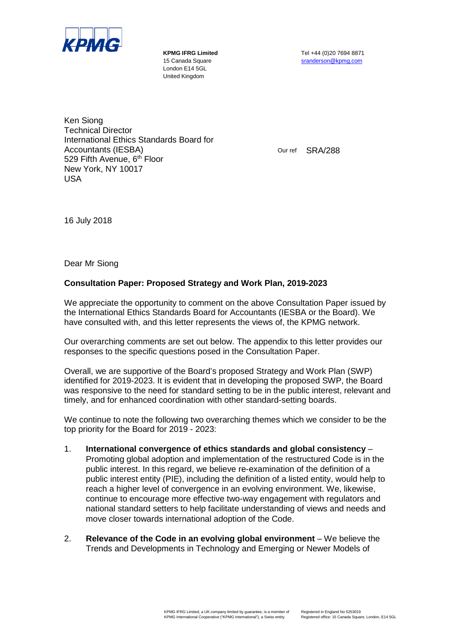

London E14 5GL United Kingdom

**KPMG IFRG Limited** Tel +44 (0)20 7694 8871 15 Canada Square stranderson @kpmg.com

Ken Siong Technical Director International Ethics Standards Board for Accountants (IESBA) 529 Fifth Avenue, 6<sup>th</sup> Floor New York, NY 10017 USA

Our ref SRA/288

16 July 2018

Dear Mr Siong

## **Consultation Paper: Proposed Strategy and Work Plan, 2019-2023**

We appreciate the opportunity to comment on the above Consultation Paper issued by the International Ethics Standards Board for Accountants (IESBA or the Board). We have consulted with, and this letter represents the views of, the KPMG network.

Our overarching comments are set out below. The appendix to this letter provides our responses to the specific questions posed in the Consultation Paper.

Overall, we are supportive of the Board's proposed Strategy and Work Plan (SWP) identified for 2019-2023. It is evident that in developing the proposed SWP, the Board was responsive to the need for standard setting to be in the public interest, relevant and timely, and for enhanced coordination with other standard-setting boards.

We continue to note the following two overarching themes which we consider to be the top priority for the Board for 2019 - 2023:

- 1. **International convergence of ethics standards and global consistency** Promoting global adoption and implementation of the restructured Code is in the public interest. In this regard, we believe re-examination of the definition of a public interest entity (PIE), including the definition of a listed entity, would help to reach a higher level of convergence in an evolving environment. We, likewise, continue to encourage more effective two-way engagement with regulators and national standard setters to help facilitate understanding of views and needs and move closer towards international adoption of the Code.
- 2. **Relevance of the Code in an evolving global environment** We believe the Trends and Developments in Technology and Emerging or Newer Models of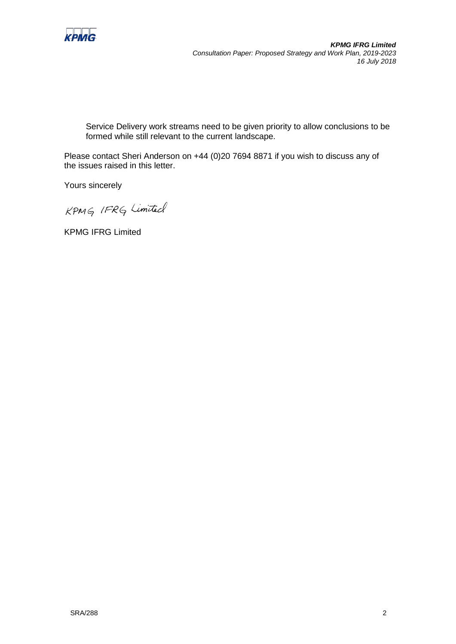

*KPMG IFRG Limited Consultation Paper: Proposed Strategy and Work Plan, 2019-2023 16 July 2018*

Service Delivery work streams need to be given priority to allow conclusions to be formed while still relevant to the current landscape.

Please contact Sheri Anderson on +44 (0)20 7694 8871 if you wish to discuss any of the issues raised in this letter.

Yours sincerely

KPMG IFRG Limited

KPMG IFRG Limited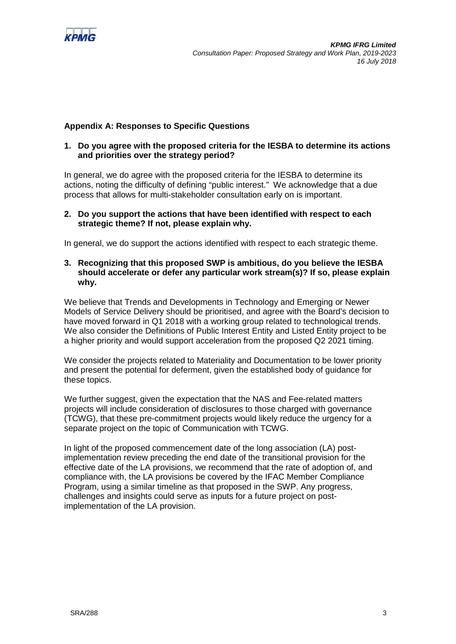

# **Appendix A: Responses to Specific Questions**

## **1. Do you agree with the proposed criteria for the IESBA to determine its actions and priorities over the strategy period?**

In general, we do agree with the proposed criteria for the IESBA to determine its actions, noting the difficulty of defining "public interest." We acknowledge that a due process that allows for multi-stakeholder consultation early on is important.

#### **2. Do you support the actions that have been identified with respect to each strategic theme? If not, please explain why.**

In general, we do support the actions identified with respect to each strategic theme.

**3. Recognizing that this proposed SWP is ambitious, do you believe the IESBA should accelerate or defer any particular work stream(s)? If so, please explain why.** 

We believe that Trends and Developments in Technology and Emerging or Newer Models of Service Delivery should be prioritised, and agree with the Board's decision to have moved forward in Q1 2018 with a working group related to technological trends. We also consider the Definitions of Public Interest Entity and Listed Entity project to be a higher priority and would support acceleration from the proposed Q2 2021 timing.

We consider the projects related to Materiality and Documentation to be lower priority and present the potential for deferment, given the established body of guidance for these topics.

We further suggest, given the expectation that the NAS and Fee-related matters projects will include consideration of disclosures to those charged with governance (TCWG), that these pre-commitment projects would likely reduce the urgency for a separate project on the topic of Communication with TCWG.

In light of the proposed commencement date of the long association (LA) postimplementation review preceding the end date of the transitional provision for the effective date of the LA provisions, we recommend that the rate of adoption of, and compliance with, the LA provisions be covered by the IFAC Member Compliance Program, using a similar timeline as that proposed in the SWP. Any progress, challenges and insights could serve as inputs for a future project on postimplementation of the LA provision.